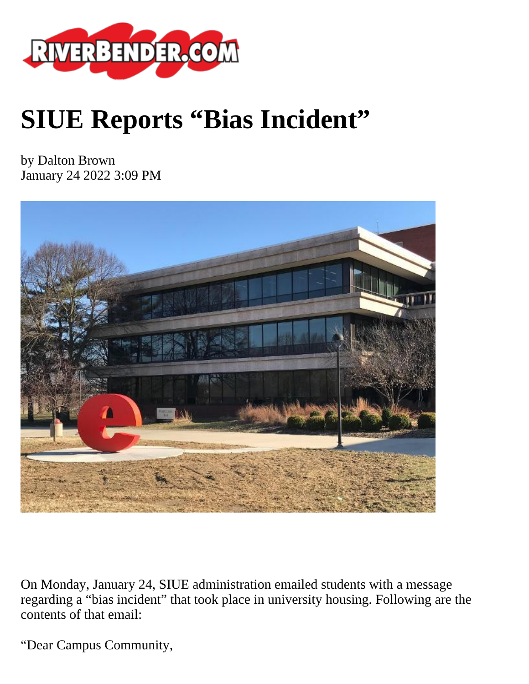

## **SIUE Reports "Bias Incident"**

by Dalton Brown January 24 2022 3:09 PM



On Monday, January 24, SIUE administration emailed students with a message regarding a "bias incident" that took place in university housing. Following are the contents of that email:

"Dear Campus Community,